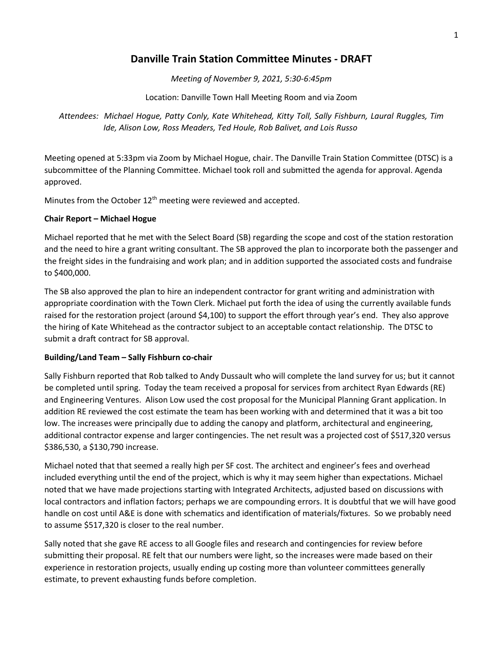## **Danville Train Station Committee Minutes - DRAFT**

*Meeting of November 9, 2021, 5:30-6:45pm*

Location: Danville Town Hall Meeting Room and via Zoom

*Attendees: Michael Hogue, Patty Conly, Kate Whitehead, Kitty Toll, Sally Fishburn, Laural Ruggles, Tim Ide, Alison Low, Ross Meaders, Ted Houle, Rob Balivet, and Lois Russo*

Meeting opened at 5:33pm via Zoom by Michael Hogue, chair. The Danville Train Station Committee (DTSC) is a subcommittee of the Planning Committee. Michael took roll and submitted the agenda for approval. Agenda approved.

Minutes from the October 12<sup>th</sup> meeting were reviewed and accepted.

## **Chair Report – Michael Hogue**

Michael reported that he met with the Select Board (SB) regarding the scope and cost of the station restoration and the need to hire a grant writing consultant. The SB approved the plan to incorporate both the passenger and the freight sides in the fundraising and work plan; and in addition supported the associated costs and fundraise to \$400,000.

The SB also approved the plan to hire an independent contractor for grant writing and administration with appropriate coordination with the Town Clerk. Michael put forth the idea of using the currently available funds raised for the restoration project (around \$4,100) to support the effort through year's end. They also approve the hiring of Kate Whitehead as the contractor subject to an acceptable contact relationship. The DTSC to submit a draft contract for SB approval.

## **Building/Land Team – Sally Fishburn co-chair**

Sally Fishburn reported that Rob talked to Andy Dussault who will complete the land survey for us; but it cannot be completed until spring. Today the team received a proposal for services from architect Ryan Edwards (RE) and Engineering Ventures. Alison Low used the cost proposal for the Municipal Planning Grant application. In addition RE reviewed the cost estimate the team has been working with and determined that it was a bit too low. The increases were principally due to adding the canopy and platform, architectural and engineering, additional contractor expense and larger contingencies. The net result was a projected cost of \$517,320 versus \$386,530, a \$130,790 increase.

Michael noted that that seemed a really high per SF cost. The architect and engineer's fees and overhead included everything until the end of the project, which is why it may seem higher than expectations. Michael noted that we have made projections starting with Integrated Architects, adjusted based on discussions with local contractors and inflation factors; perhaps we are compounding errors. It is doubtful that we will have good handle on cost until A&E is done with schematics and identification of materials/fixtures. So we probably need to assume \$517,320 is closer to the real number.

Sally noted that she gave RE access to all Google files and research and contingencies for review before submitting their proposal. RE felt that our numbers were light, so the increases were made based on their experience in restoration projects, usually ending up costing more than volunteer committees generally estimate, to prevent exhausting funds before completion.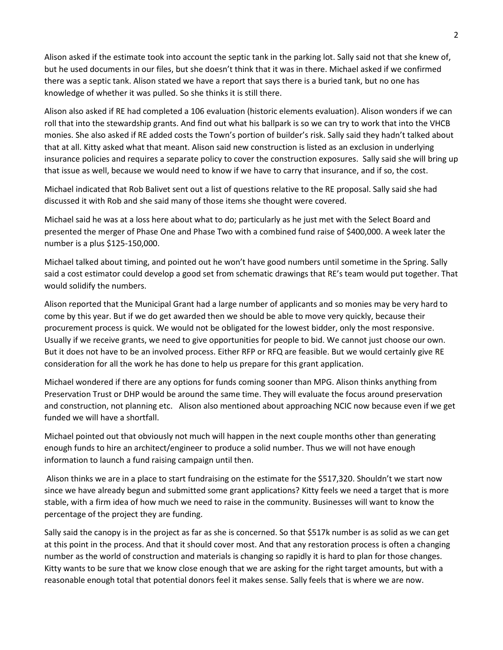Alison asked if the estimate took into account the septic tank in the parking lot. Sally said not that she knew of, but he used documents in our files, but she doesn't think that it was in there. Michael asked if we confirmed there was a septic tank. Alison stated we have a report that says there is a buried tank, but no one has knowledge of whether it was pulled. So she thinks it is still there.

Alison also asked if RE had completed a 106 evaluation (historic elements evaluation). Alison wonders if we can roll that into the stewardship grants. And find out what his ballpark is so we can try to work that into the VHCB monies. She also asked if RE added costs the Town's portion of builder's risk. Sally said they hadn't talked about that at all. Kitty asked what that meant. Alison said new construction is listed as an exclusion in underlying insurance policies and requires a separate policy to cover the construction exposures. Sally said she will bring up that issue as well, because we would need to know if we have to carry that insurance, and if so, the cost.

Michael indicated that Rob Balivet sent out a list of questions relative to the RE proposal. Sally said she had discussed it with Rob and she said many of those items she thought were covered.

Michael said he was at a loss here about what to do; particularly as he just met with the Select Board and presented the merger of Phase One and Phase Two with a combined fund raise of \$400,000. A week later the number is a plus \$125-150,000.

Michael talked about timing, and pointed out he won't have good numbers until sometime in the Spring. Sally said a cost estimator could develop a good set from schematic drawings that RE's team would put together. That would solidify the numbers.

Alison reported that the Municipal Grant had a large number of applicants and so monies may be very hard to come by this year. But if we do get awarded then we should be able to move very quickly, because their procurement process is quick. We would not be obligated for the lowest bidder, only the most responsive. Usually if we receive grants, we need to give opportunities for people to bid. We cannot just choose our own. But it does not have to be an involved process. Either RFP or RFQ are feasible. But we would certainly give RE consideration for all the work he has done to help us prepare for this grant application.

Michael wondered if there are any options for funds coming sooner than MPG. Alison thinks anything from Preservation Trust or DHP would be around the same time. They will evaluate the focus around preservation and construction, not planning etc. Alison also mentioned about approaching NCIC now because even if we get funded we will have a shortfall.

Michael pointed out that obviously not much will happen in the next couple months other than generating enough funds to hire an architect/engineer to produce a solid number. Thus we will not have enough information to launch a fund raising campaign until then.

Alison thinks we are in a place to start fundraising on the estimate for the \$517,320. Shouldn't we start now since we have already begun and submitted some grant applications? Kitty feels we need a target that is more stable, with a firm idea of how much we need to raise in the community. Businesses will want to know the percentage of the project they are funding.

Sally said the canopy is in the project as far as she is concerned. So that \$517k number is as solid as we can get at this point in the process. And that it should cover most. And that any restoration process is often a changing number as the world of construction and materials is changing so rapidly it is hard to plan for those changes. Kitty wants to be sure that we know close enough that we are asking for the right target amounts, but with a reasonable enough total that potential donors feel it makes sense. Sally feels that is where we are now.